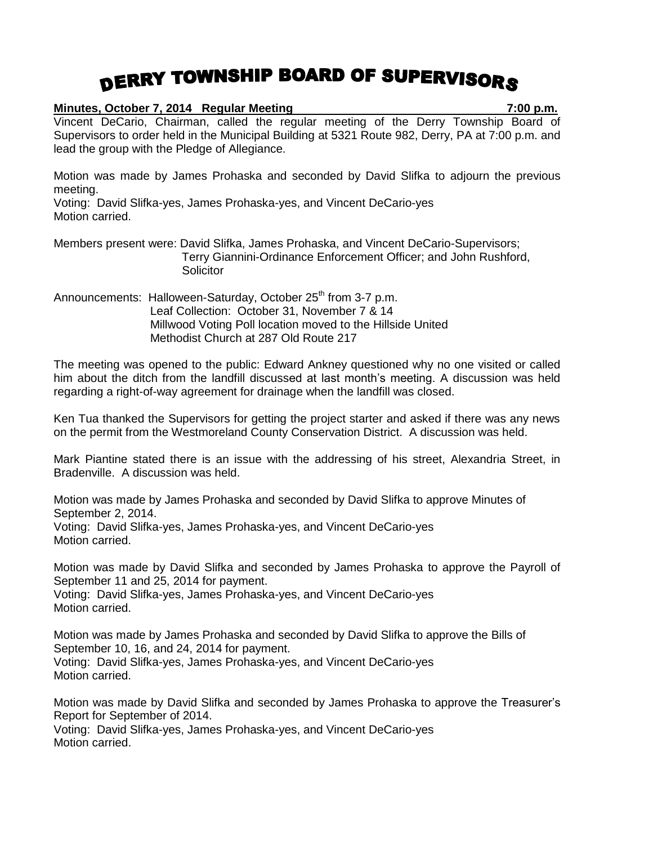## DERRY TOWNSHIP BOARD OF SUPERVISORS

|                             | Minutes, October 7, 2014 Regular Meeting                                                                                                                                                                                                   | 7:00 p.m. |
|-----------------------------|--------------------------------------------------------------------------------------------------------------------------------------------------------------------------------------------------------------------------------------------|-----------|
|                             | Vincent DeCario, Chairman, called the regular meeting of the Derry Township Board of<br>Supervisors to order held in the Municipal Building at 5321 Route 982, Derry, PA at 7:00 p.m. and<br>lead the group with the Pledge of Allegiance. |           |
| meeting.<br>Motion carried. | Motion was made by James Prohaska and seconded by David Slifka to adjourn the previous<br>Voting: David Slifka-yes, James Prohaska-yes, and Vincent DeCario-yes                                                                            |           |
|                             | Members present were: David Slifka, James Prohaska, and Vincent DeCario-Supervisors;<br>Terry Giannini-Ordinance Enforcement Officer; and John Rushford,<br>Solicitor                                                                      |           |
|                             | Announcements: Halloween-Saturday, October 25 <sup>th</sup> from 3-7 p.m.<br>Leaf Collection: October 31, November 7 & 14<br>Millwood Voting Poll location moved to the Hillside United<br>Methodist Church at 287 Old Route 217           |           |
|                             |                                                                                                                                                                                                                                            |           |

The meeting was opened to the public: Edward Ankney questioned why no one visited or called him about the ditch from the landfill discussed at last month's meeting. A discussion was held regarding a right-of-way agreement for drainage when the landfill was closed.

Ken Tua thanked the Supervisors for getting the project starter and asked if there was any news on the permit from the Westmoreland County Conservation District. A discussion was held.

Mark Piantine stated there is an issue with the addressing of his street, Alexandria Street, in Bradenville. A discussion was held.

Motion was made by James Prohaska and seconded by David Slifka to approve Minutes of September 2, 2014. Voting: David Slifka-yes, James Prohaska-yes, and Vincent DeCario-yes Motion carried.

Motion was made by David Slifka and seconded by James Prohaska to approve the Payroll of September 11 and 25, 2014 for payment. Voting: David Slifka-yes, James Prohaska-yes, and Vincent DeCario-yes Motion carried.

Motion was made by James Prohaska and seconded by David Slifka to approve the Bills of September 10, 16, and 24, 2014 for payment. Voting: David Slifka-yes, James Prohaska-yes, and Vincent DeCario-yes Motion carried.

Motion was made by David Slifka and seconded by James Prohaska to approve the Treasurer's Report for September of 2014.

Voting: David Slifka-yes, James Prohaska-yes, and Vincent DeCario-yes Motion carried.